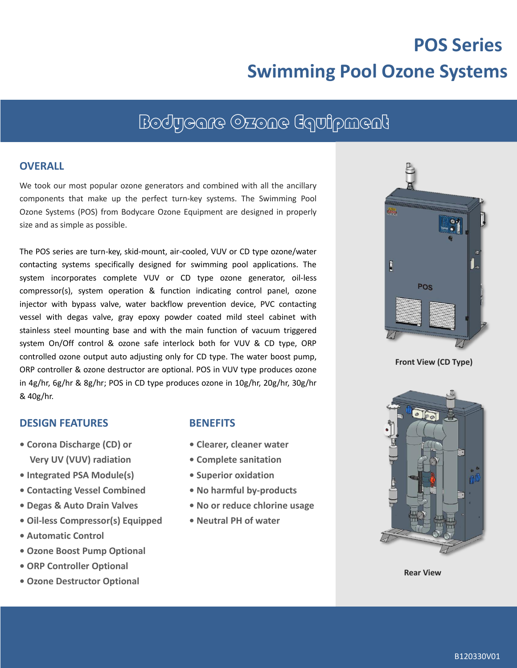# **POS Series Swimming Pool Ozone Systems**

# Bodycare Ozone Equipment

#### **OVERALL**

We took our most popular ozone generators and combined with all the ancillary components that make up the perfect turn-key systems. The Swimming Pool Ozone Systems (POS) from Bodycare Ozone Equipment are designed in properly size and as simple as possible.

The POS series are turn-key, skid-mount, air-cooled, VUV or CD type ozone/water contacting systems specifically designed for swimming pool applications. The system incorporates complete VUV or CD type ozone generator, oil-less compressor(s), system operation & function indicating control panel, ozone injector with bypass valve, water backflow prevention device, PVC contacting vessel with degas valve, gray epoxy powder coated mild steel cabinet with stainless steel mounting base and with the main function of vacuum triggered system On/Off control & ozone safe interlock both for VUV & CD type, ORP controlled ozone output auto adjusting only for CD type. The water boost pump, ORP controller & ozone destructor are optional. POS in VUV type produces ozone in 4g/hr, 6g/hr & 8g/hr; POS in CD type produces ozone in 10g/hr, 20g/hr, 30g/hr & 40g/hr.

#### **DESIGN FEATURES**

- **Corona Discharge (CD) or Very UV (VUV) radiation**
- **Integrated PSA Module(s)**
- **Contacting Vessel Combined**
- **Degas & Auto Drain Valves**
- **• Oil-less Compressor(s) Equipped**
- **• Automatic Control**
- **• Ozone Boost Pump Optional**
- **• ORP Controller Optional**
- **• Ozone Destructor Optional**

#### **BENEFITS**

- **Clearer, cleaner water**
- **Complete sanitation**
- **Superior oxidation**
- **• No harmful by-products**
- **• No or reduce chlorine usage**
- **Neutral PH of water**



**Front View (CD Type)**



**Rear View**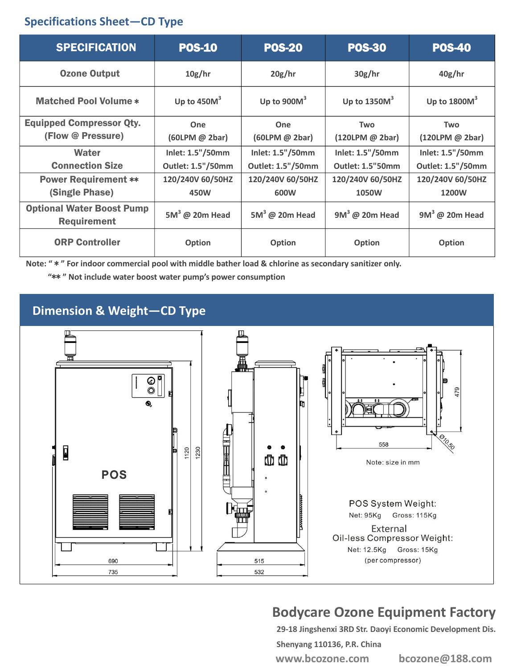### **Specifications Sheet—CD Type**

| <b>SPECIFICATION</b>                                   | <b>POS-10</b>            | <b>POS-20</b>            | <b>POS-30</b>             | <b>POS-40</b>             |
|--------------------------------------------------------|--------------------------|--------------------------|---------------------------|---------------------------|
| <b>Ozone Output</b>                                    | 10g/hr                   | 20g/hr                   | 30g/hr                    | 40g/hr                    |
| <b>Matched Pool Volume *</b>                           | Up to $450M3$            | Up to $900M3$            | Up to $1350M3$            | Up to $1800M3$            |
| <b>Equipped Compressor Qty.</b>                        | One                      | One                      | <b>Two</b>                | <b>Two</b>                |
| (Flow @ Pressure)                                      | (60LPM @ 2bar)           | $(60$ LPM $@$ 2bar)      | (120LPM @ 2bar)           | (120LPM @ 2bar)           |
| Water                                                  | Inlet: 1.5"/50mm         | Inlet: 1.5"/50mm         | Inlet: 1.5"/50mm          | Inlet: 1.5"/50mm          |
| <b>Connection Size</b>                                 | Outlet: 1.5"/50mm        | Outlet: 1.5"/50mm        | <b>Outlet: 1.5"50mm</b>   | <b>Outlet: 1.5"/50mm</b>  |
| <b>Power Requirement **</b><br>(Single Phase)          | 120/240V 60/50HZ<br>450W | 120/240V 60/50HZ<br>600W | 120/240V 60/50HZ<br>1050W | 120/240V 60/50HZ<br>1200W |
| <b>Optional Water Boost Pump</b><br><b>Requirement</b> | $5M^3$ @ 20m Head        | $5M3$ @ 20m Head         | $9M3$ @ 20m Head          | $9M3$ @ 20m Head          |
| <b>ORP Controller</b>                                  | <b>Option</b>            | Option                   | <b>Option</b>             | Option                    |

**Note: "** \* **" For indoor commercial pool with middle bather load & chlorine as secondary sanitizer only.** 

**"**\*\* **" Not include water boost water pump's power consumption**

## **Dimension & Weight—CD Type**



# **Bodycare Ozone Equipment Factory**

**29-18 Jingshenxi 3RD Str. Daoyi Economic Development Dis.** 

**Shenyang 110136, P.R. China www.bcozone.com bcozone@188.com**